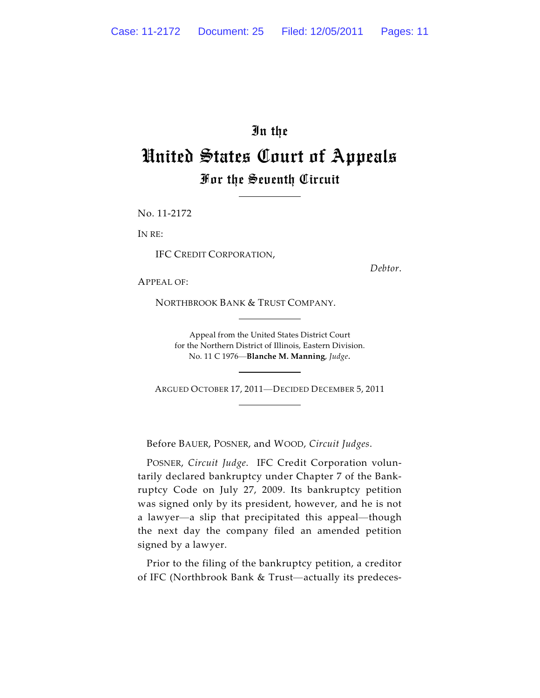## In the United States Court of Appeals For the Seventh Circuit

No. 11-2172

IN RE:

IFC CREDIT CORPORATION,

*Debtor*.

APPEAL OF:

NORTHBROOK BANK & TRUST COMPANY.

Appeal from the United States District Court for the Northern District of Illinois, Eastern Division. No. 11 C 1976—**Blanche M. Manning**, *Judge*.

ARGUED OCTOBER 17, 2011—DECIDED DECEMBER 5, 2011

Before BAUER, POSNER, and WOOD, *Circuit Judges*.

POSNER, *Circuit Judge*. IFC Credit Corporation voluntarily declared bankruptcy under Chapter 7 of the Bankruptcy Code on July 27, 2009. Its bankruptcy petition was signed only by its president, however, and he is not a lawyer—a slip that precipitated this appeal—though the next day the company filed an amended petition signed by a lawyer.

Prior to the filing of the bankruptcy petition, a creditor of IFC (Northbrook Bank & Trust—actually its predeces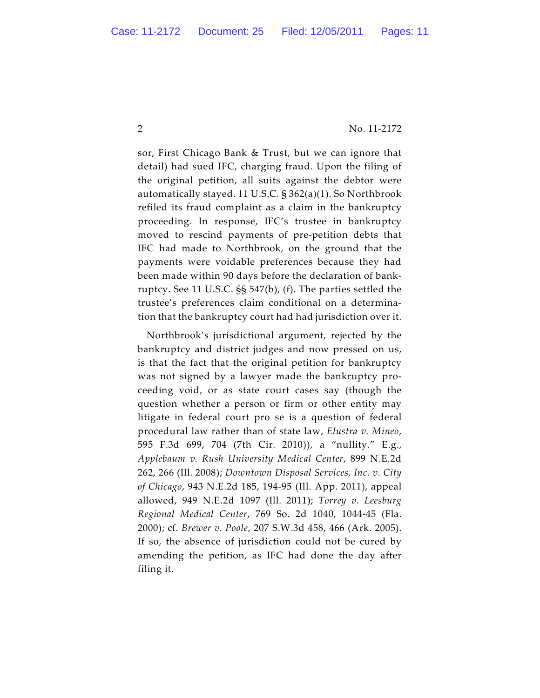sor, First Chicago Bank & Trust, but we can ignore that detail) had sued IFC, charging fraud. Upon the filing of the original petition, all suits against the debtor were automatically stayed. 11 U.S.C. § 362(a)(1). So Northbrook refiled its fraud complaint as a claim in the bankruptcy proceeding. In response, IFC's trustee in bankruptcy moved to rescind payments of pre-petition debts that IFC had made to Northbrook, on the ground that the payments were voidable preferences because they had been made within 90 days before the declaration of bankruptcy. See 11 U.S.C. §§ 547(b), (f). The parties settled the trustee's preferences claim conditional on a determination that the bankruptcy court had had jurisdiction over it.

Northbrook's jurisdictional argument, rejected by the bankruptcy and district judges and now pressed on us, is that the fact that the original petition for bankruptcy was not signed by a lawyer made the bankruptcy proceeding void, or as state court cases say (though the question whether a person or firm or other entity may litigate in federal court pro se is a question of federal procedural law rather than of state law, *Elustra v. Mineo*, 595 F.3d 699, 704 (7th Cir. 2010)), a "nullity." E.g., *Applebaum v. Rush University Medical Center*, 899 N.E.2d 262, 266 (Ill. 2008); *Downtown Disposal Services, Inc. v. City of Chicago*, 943 N.E.2d 185, 194-95 (Ill. App. 2011), appeal allowed, 949 N.E.2d 1097 (Ill. 2011); *Torrey v. Leesburg Regional Medical Center*, 769 So. 2d 1040, 1044-45 (Fla. 2000); cf. *Brewer v. Poole*, 207 S.W.3d 458, 466 (Ark. 2005). If so, the absence of jurisdiction could not be cured by amending the petition, as IFC had done the day after filing it.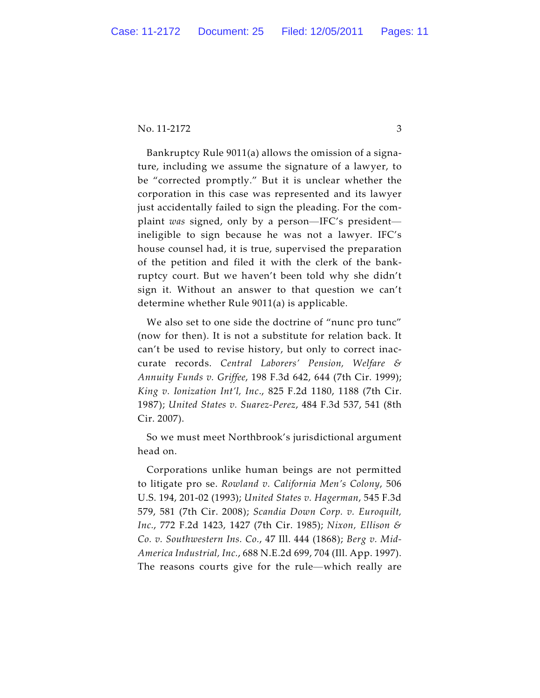Bankruptcy Rule 9011(a) allows the omission of a signature, including we assume the signature of a lawyer, to be "corrected promptly." But it is unclear whether the corporation in this case was represented and its lawyer just accidentally failed to sign the pleading. For the complaint *was* signed, only by a person—IFC's president ineligible to sign because he was not a lawyer. IFC's house counsel had, it is true, supervised the preparation of the petition and filed it with the clerk of the bankruptcy court. But we haven't been told why she didn't sign it. Without an answer to that question we can't determine whether Rule 9011(a) is applicable.

We also set to one side the doctrine of "nunc pro tunc" (now for then). It is not a substitute for relation back. It can't be used to revise history, but only to correct inaccurate records. *Central Laborers' Pension, Welfare & Annuity Funds v. Griffee*, 198 F.3d 642, 644 (7th Cir. 1999); *King v. Ionization Int'l, Inc*., 825 F.2d 1180, 1188 (7th Cir. 1987); *United States v. Suarez-Perez*, 484 F.3d 537, 541 (8th Cir. 2007).

So we must meet Northbrook's jurisdictional argument head on.

Corporations unlike human beings are not permitted to litigate pro se. *Rowland v. California Men's Colony*, 506 U.S. 194, 201-02 (1993); *United States v. Hagerman*, 545 F.3d 579, 581 (7th Cir. 2008); *Scandia Down Corp. v. Euroquilt, Inc.*, 772 F.2d 1423, 1427 (7th Cir. 1985); *Nixon, Ellison & Co. v. Southwestern Ins. Co.*, 47 Ill. 444 (1868); *Berg v. Mid-America Industrial, Inc.*, 688 N.E.2d 699, 704 (Ill. App. 1997). The reasons courts give for the rule—which really are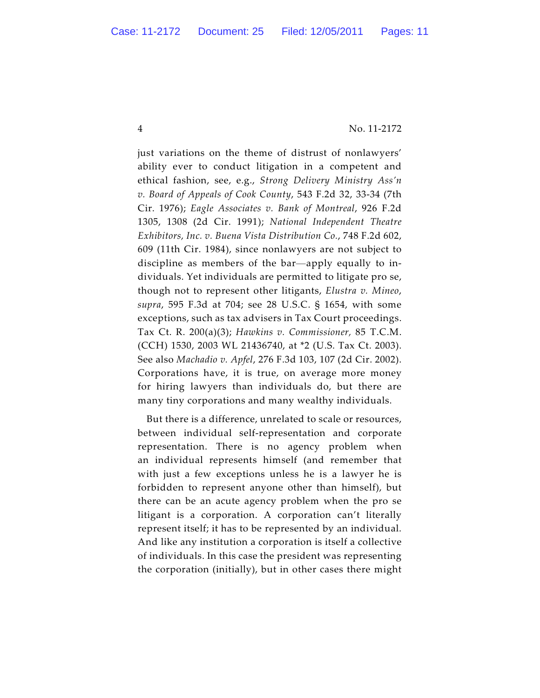just variations on the theme of distrust of nonlawyers' ability ever to conduct litigation in a competent and ethical fashion, see, e.g., *Strong Delivery Ministry Ass'n v. Board of Appeals of Cook County*, 543 F.2d 32, 33-34 (7th Cir. 1976); *Eagle Associates v. Bank of Montreal*, 926 F.2d 1305, 1308 (2d Cir. 1991); *National Independent Theatre Exhibitors, Inc. v. Buena Vista Distribution Co.*, 748 F.2d 602, 609 (11th Cir. 1984), since nonlawyers are not subject to discipline as members of the bar—apply equally to individuals. Yet individuals are permitted to litigate pro se, though not to represent other litigants, *Elustra v. Mineo*, *supra*, 595 F.3d at 704; see 28 U.S.C. § 1654, with some exceptions, such as tax advisers in Tax Court proceedings. Tax Ct. R. 200(a)(3); *Hawkins v. Commissioner,* 85 T.C.M. (CCH) 1530, 2003 WL 21436740, at \*2 (U.S. Tax Ct. 2003). See also *Machadio v. Apfel*, 276 F.3d 103, 107 (2d Cir. 2002). Corporations have, it is true, on average more money for hiring lawyers than individuals do, but there are many tiny corporations and many wealthy individuals.

But there is a difference, unrelated to scale or resources, between individual self-representation and corporate representation. There is no agency problem when an individual represents himself (and remember that with just a few exceptions unless he is a lawyer he is forbidden to represent anyone other than himself), but there can be an acute agency problem when the pro se litigant is a corporation. A corporation can't literally represent itself; it has to be represented by an individual. And like any institution a corporation is itself a collective of individuals. In this case the president was representing the corporation (initially), but in other cases there might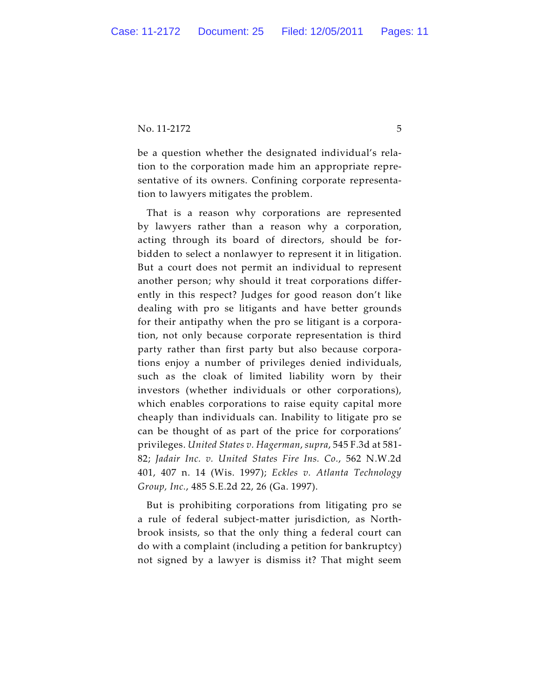be a question whether the designated individual's relation to the corporation made him an appropriate representative of its owners. Confining corporate representation to lawyers mitigates the problem.

That is a reason why corporations are represented by lawyers rather than a reason why a corporation, acting through its board of directors, should be forbidden to select a nonlawyer to represent it in litigation. But a court does not permit an individual to represent another person; why should it treat corporations differently in this respect? Judges for good reason don't like dealing with pro se litigants and have better grounds for their antipathy when the pro se litigant is a corporation, not only because corporate representation is third party rather than first party but also because corporations enjoy a number of privileges denied individuals, such as the cloak of limited liability worn by their investors (whether individuals or other corporations), which enables corporations to raise equity capital more cheaply than individuals can. Inability to litigate pro se can be thought of as part of the price for corporations' privileges. *United States v. Hagerman*, *supra*, 545 F.3d at 581- 82; *Jadair Inc. v. United States Fire Ins. Co.*, 562 N.W.2d 401, 407 n. 14 (Wis. 1997); *Eckles v. Atlanta Technology Group, Inc.*, 485 S.E.2d 22, 26 (Ga. 1997).

But is prohibiting corporations from litigating pro se a rule of federal subject-matter jurisdiction, as Northbrook insists, so that the only thing a federal court can do with a complaint (including a petition for bankruptcy) not signed by a lawyer is dismiss it? That might seem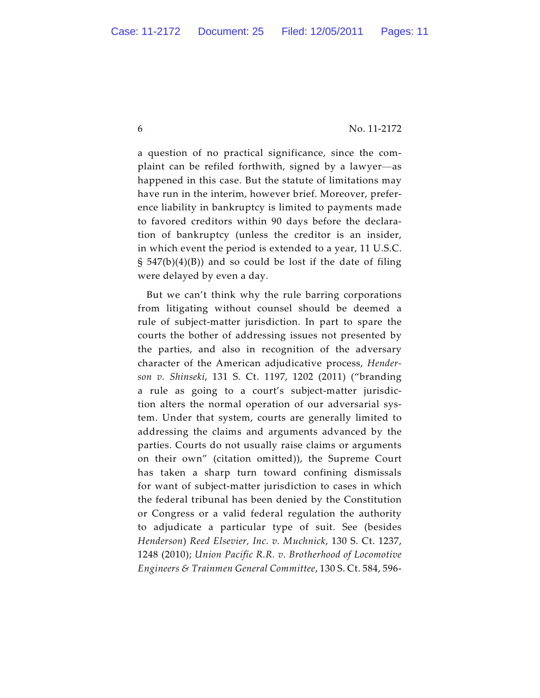a question of no practical significance, since the complaint can be refiled forthwith, signed by a lawyer—as happened in this case. But the statute of limitations may have run in the interim, however brief. Moreover, preference liability in bankruptcy is limited to payments made to favored creditors within 90 days before the declaration of bankruptcy (unless the creditor is an insider, in which event the period is extended to a year, 11 U.S.C.  $\S$  547(b)(4)(B)) and so could be lost if the date of filing were delayed by even a day.

But we can't think why the rule barring corporations from litigating without counsel should be deemed a rule of subject-matter jurisdiction. In part to spare the courts the bother of addressing issues not presented by the parties, and also in recognition of the adversary character of the American adjudicative process, *Henderson v. Shinseki*, 131 S. Ct. 1197, 1202 (2011) ("branding a rule as going to a court's subject-matter jurisdiction alters the normal operation of our adversarial system. Under that system, courts are generally limited to addressing the claims and arguments advanced by the parties. Courts do not usually raise claims or arguments on their own" (citation omitted)), the Supreme Court has taken a sharp turn toward confining dismissals for want of subject-matter jurisdiction to cases in which the federal tribunal has been denied by the Constitution or Congress or a valid federal regulation the authority to adjudicate a particular type of suit. See (besides *Henderson*) *Reed Elsevier, Inc. v. Muchnick*, 130 S. Ct. 1237, 1248 (2010); *Union Pacific R.R. v. Brotherhood of Locomotive Engineers & Trainmen General Committee*, 130 S. Ct. 584, 596-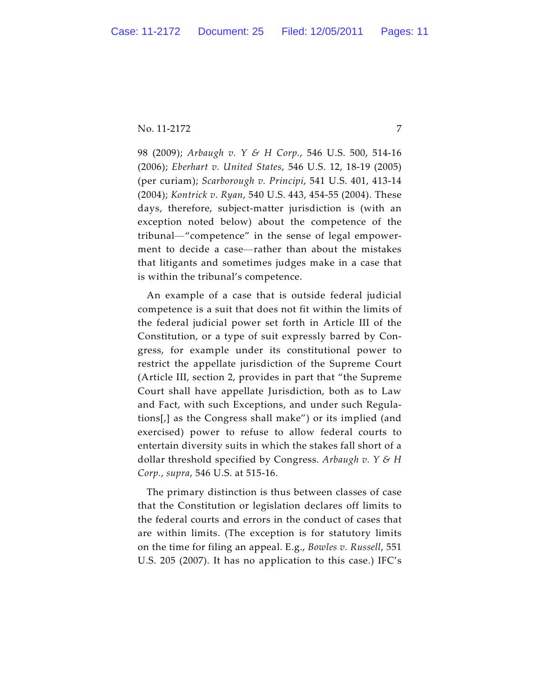98 (2009); *Arbaugh v. Y & H Corp.*, 546 U.S. 500, 514-16 (2006); *Eberhart v. United States*, 546 U.S. 12, 18-19 (2005) (per curiam); *Scarborough v. Principi*, 541 U.S. 401, 413-14 (2004); *Kontrick v. Ryan*, 540 U.S. 443, 454-55 (2004). These days, therefore, subject-matter jurisdiction is (with an exception noted below) about the competence of the tribunal—"competence" in the sense of legal empowerment to decide a case—rather than about the mistakes that litigants and sometimes judges make in a case that is within the tribunal's competence.

An example of a case that is outside federal judicial competence is a suit that does not fit within the limits of the federal judicial power set forth in Article III of the Constitution, or a type of suit expressly barred by Congress, for example under its constitutional power to restrict the appellate jurisdiction of the Supreme Court (Article III, section 2, provides in part that "the Supreme Court shall have appellate Jurisdiction, both as to Law and Fact, with such Exceptions, and under such Regulations[,] as the Congress shall make") or its implied (and exercised) power to refuse to allow federal courts to entertain diversity suits in which the stakes fall short of a dollar threshold specified by Congress. *Arbaugh v. Y & H Corp.*, *supra*, 546 U.S. at 515-16.

The primary distinction is thus between classes of case that the Constitution or legislation declares off limits to the federal courts and errors in the conduct of cases that are within limits. (The exception is for statutory limits on the time for filing an appeal. E.g., *Bowles v. Russell*, 551 U.S. 205 (2007). It has no application to this case.) IFC's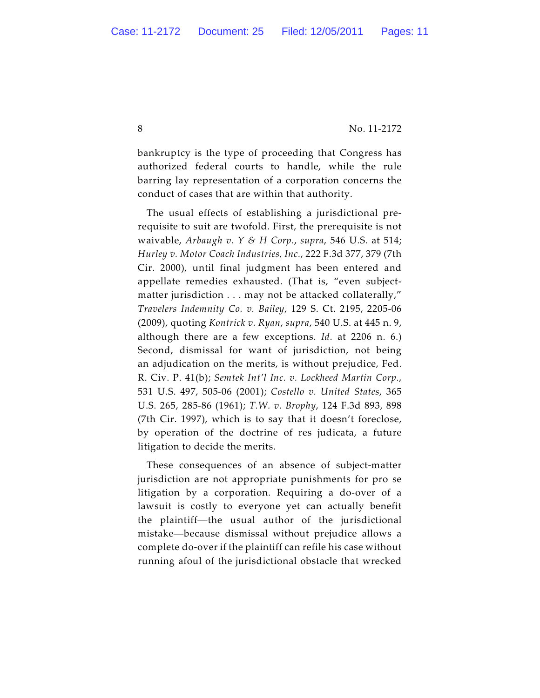bankruptcy is the type of proceeding that Congress has authorized federal courts to handle, while the rule barring lay representation of a corporation concerns the conduct of cases that are within that authority.

The usual effects of establishing a jurisdictional prerequisite to suit are twofold. First, the prerequisite is not waivable, *Arbaugh v. Y & H Corp.*, *supra*, 546 U.S. at 514; *Hurley v. Motor Coach Industries, Inc.*, 222 F.3d 377, 379 (7th Cir. 2000), until final judgment has been entered and appellate remedies exhausted. (That is, "even subjectmatter jurisdiction . . . may not be attacked collaterally," *Travelers Indemnity Co. v. Bailey*, 129 S. Ct. 2195, 2205-06 (2009), quoting *Kontrick v. Ryan*, *supra*, 540 U.S. at 445 n. 9, although there are a few exceptions. *Id*. at 2206 n. 6.) Second, dismissal for want of jurisdiction, not being an adjudication on the merits, is without prejudice, Fed. R. Civ. P. 41(b); *Semtek Int'l Inc. v. Lockheed Martin Corp.*, 531 U.S. 497, 505-06 (2001); *Costello v. United States*, 365 U.S. 265, 285-86 (1961); *T.W. v. Brophy*, 124 F.3d 893, 898 (7th Cir. 1997), which is to say that it doesn't foreclose, by operation of the doctrine of res judicata, a future litigation to decide the merits.

These consequences of an absence of subject-matter jurisdiction are not appropriate punishments for pro se litigation by a corporation. Requiring a do-over of a lawsuit is costly to everyone yet can actually benefit the plaintiff—the usual author of the jurisdictional mistake—because dismissal without prejudice allows a complete do-over if the plaintiff can refile his case without running afoul of the jurisdictional obstacle that wrecked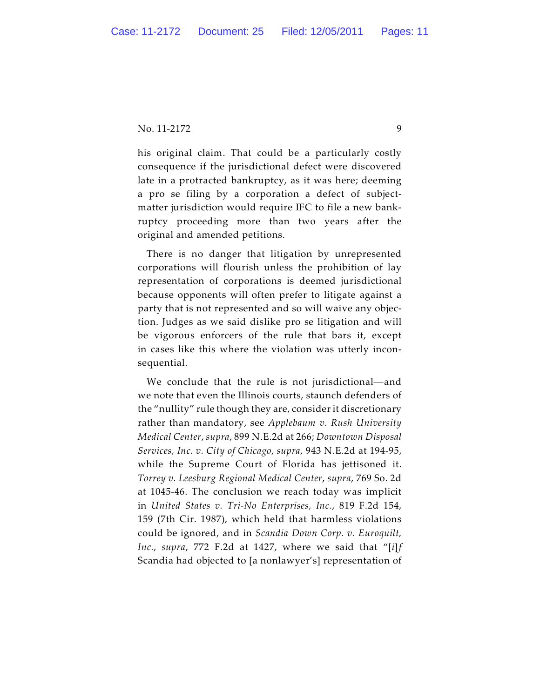his original claim. That could be a particularly costly consequence if the jurisdictional defect were discovered late in a protracted bankruptcy, as it was here; deeming a pro se filing by a corporation a defect of subjectmatter jurisdiction would require IFC to file a new bankruptcy proceeding more than two years after the original and amended petitions.

There is no danger that litigation by unrepresented corporations will flourish unless the prohibition of lay representation of corporations is deemed jurisdictional because opponents will often prefer to litigate against a party that is not represented and so will waive any objection. Judges as we said dislike pro se litigation and will be vigorous enforcers of the rule that bars it, except in cases like this where the violation was utterly inconsequential.

We conclude that the rule is not jurisdictional—and we note that even the Illinois courts, staunch defenders of the "nullity" rule though they are, consider it discretionary rather than mandatory, see *Applebaum v. Rush University Medical Center*, *supra*, 899 N.E.2d at 266; *Downtown Disposal Services, Inc. v. City of Chicago*, *supra*, 943 N.E.2d at 194-95, while the Supreme Court of Florida has jettisoned it. *Torrey v. Leesburg Regional Medical Center*, *supra*, 769 So. 2d at 1045-46. The conclusion we reach today was implicit in *United States v. Tri-No Enterprises, Inc.*, 819 F.2d 154, 159 (7th Cir. 1987), which held that harmless violations could be ignored, and in *Scandia Down Corp. v. Euroquilt, Inc.*, *supra*, 772 F.2d at 1427, where we said that "[*i*]*f* Scandia had objected to [a nonlawyer's] representation of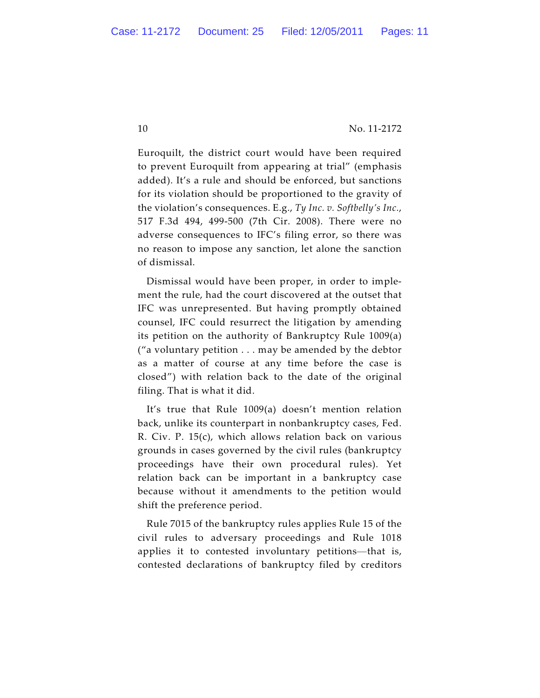Euroquilt, the district court would have been required to prevent Euroquilt from appearing at trial" (emphasis added). It's a rule and should be enforced, but sanctions for its violation should be proportioned to the gravity of the violation's consequences. E.g., *Ty Inc. v. Softbelly's Inc.*, 517 F.3d 494, 499-500 (7th Cir. 2008). There were no adverse consequences to IFC's filing error, so there was no reason to impose any sanction, let alone the sanction of dismissal.

Dismissal would have been proper, in order to implement the rule, had the court discovered at the outset that IFC was unrepresented. But having promptly obtained counsel, IFC could resurrect the litigation by amending its petition on the authority of Bankruptcy Rule 1009(a) ("a voluntary petition . . . may be amended by the debtor as a matter of course at any time before the case is closed") with relation back to the date of the original filing. That is what it did.

It's true that Rule 1009(a) doesn't mention relation back, unlike its counterpart in nonbankruptcy cases, Fed. R. Civ. P. 15(c), which allows relation back on various grounds in cases governed by the civil rules (bankruptcy proceedings have their own procedural rules). Yet relation back can be important in a bankruptcy case because without it amendments to the petition would shift the preference period.

Rule 7015 of the bankruptcy rules applies Rule 15 of the civil rules to adversary proceedings and Rule 1018 applies it to contested involuntary petitions—that is, contested declarations of bankruptcy filed by creditors